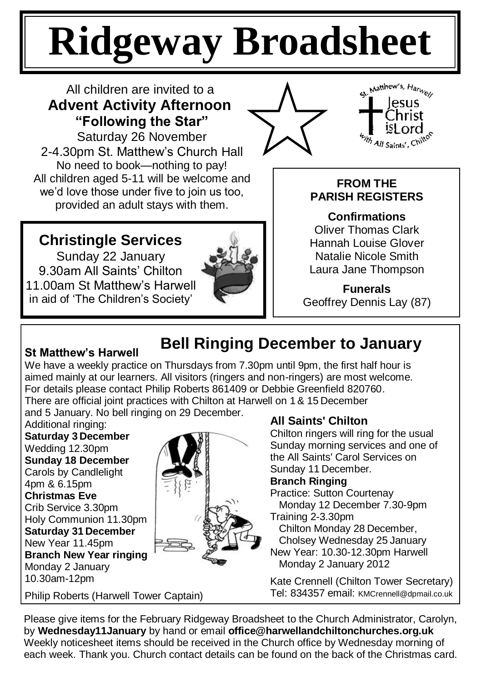# **Ridgeway Broadsheet**

## All children are invited to a **Advent Activity Afternoon "Following the Star"**

Saturday 26 November 2-4.30pm St. Matthew's Church Hall No need to book—nothing to pay! All children aged 5-11 will be welcome and we'd love those under five to join us too, provided an adult stays with them.





## **FROM THE PARISH REGISTERS**

**Confirmations** Oliver Thomas Clark Hannah Louise Glover Natalie Nicole Smith Laura Jane Thompson

**Funerals** Geoffrey Dennis Lay (87)

## **Christingle Services**

Sunday 22 January 9.30am All Saints' Chilton 11.00am St Matthew's Harwell in aid of 'The Children's Society'



## **St Matthew"s Harwell**

# **Bell Ringing December to January**

We have a weekly practice on Thursdays from 7.30pm until 9pm, the first half hour is aimed mainly at our learners. All visitors (ringers and non-ringers) are most welcome. For details please contact Philip Roberts 861409 or Debbie Greenfield 820760. There are official joint practices with Chilton at Harwell on 1& 15 December

and 5 January. No bell ringing on 29 December.

Additional ringing: **Saturday 3 December** Wedding 12.30pm **Sunday 18 December**  Carols by Candlelight 4pm & 6.15pm **Christmas Eve** Crib Service 3.30pm Holy Communion 11.30pm **Saturday 31 December**  New Year 11.45pm **Branch New Year ringing**  Monday 2 January 10.30am-12pm



### Philip Roberts (Harwell Tower Captain)

## **All Saints' Chilton**

Chilton ringers will ring for the usual Sunday morning services and one of the All Saints' Carol Services on Sunday 11 December.

#### **Branch Ringing**

Practice: Sutton Courtenay Monday 12 December 7.30-9pm

Training 2-3.30pm

Chilton Monday 28 December,

 Cholsey Wednesday 25 January New Year: 10.30-12.30pm Harwell Monday 2 January 2012

Kate Crennell (Chilton Tower Secretary) Tel: 834357 email: KMCrennell@dpmail.co.uk

Please give items for the February Ridgeway Broadsheet to the Church Administrator, Carolyn, by **Wednesday11January** by hand or email **office@harwellandchiltonchurches.org.uk** Weekly noticesheet items should be received in the Church office by Wednesday morning of each week. Thank you. Church contact details can be found on the back of the Christmas card.